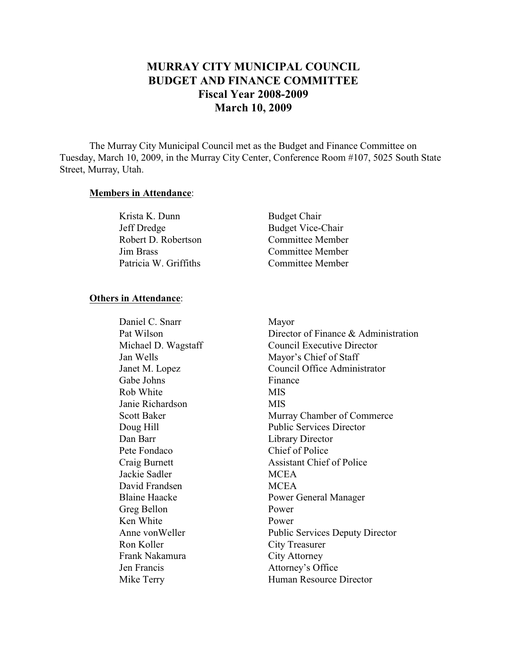# **MURRAY CITY MUNICIPAL COUNCIL BUDGET AND FINANCE COMMITTEE Fiscal Year 2008-2009 March 10, 2009**

The Murray City Municipal Council met as the Budget and Finance Committee on Tuesday, March 10, 2009, in the Murray City Center, Conference Room #107, 5025 South State Street, Murray, Utah.

#### **Members in Attendance**:

| Krista K. Dunn        | <b>Budget Chair</b>      |
|-----------------------|--------------------------|
| Jeff Dredge           | <b>Budget Vice-Chair</b> |
| Robert D. Robertson   | <b>Committee Member</b>  |
| <b>Jim Brass</b>      | Committee Member         |
| Patricia W. Griffiths | Committee Member         |

#### **Others in Attendance**:

Daniel C. Snarr Mayor Pat Wilson Director of Finance & Administration Michael D. Wagstaff Council Executive Director Jan Wells Mayor's Chief of Staff Janet M. Lopez Council Office Administrator Gabe Johns Finance Rob White MIS Janie Richardson MIS Scott Baker Murray Chamber of Commerce Doug Hill Public Services Director Dan Barr Library Director Pete Fondaco Chief of Police Craig Burnett Assistant Chief of Police Jackie Sadler MCEA David Frandsen MCEA Blaine Haacke Power General Manager Greg Bellon Power Ken White Power Anne von Weller Public Services Deputy Director Ron Koller City Treasurer Frank Nakamura City Attorney Jen Francis Attorney's Office Mike Terry Human Resource Director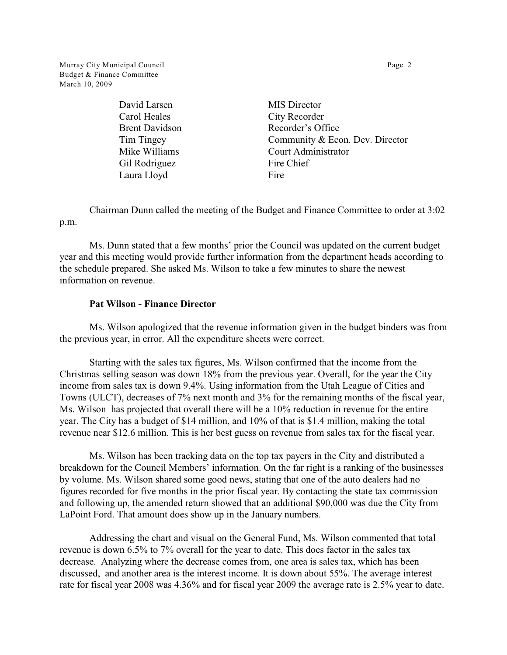Murray City Municipal Council **Page 2 Page 2** Budget & Finance Committee March 10, 2009

> David Larsen MIS Director Carol Heales City Recorder Gil Rodriguez Fire Chief Laura Lloyd Fire

Brent Davidson Recorder's Office Tim Tingey Community & Econ. Dev. Director Mike Williams Court Administrator

Chairman Dunn called the meeting of the Budget and Finance Committee to order at 3:02 p.m.

Ms. Dunn stated that a few months' prior the Council was updated on the current budget year and this meeting would provide further information from the department heads according to the schedule prepared. She asked Ms. Wilson to take a few minutes to share the newest information on revenue.

#### **Pat Wilson - Finance Director**

Ms. Wilson apologized that the revenue information given in the budget binders was from the previous year, in error. All the expenditure sheets were correct.

Starting with the sales tax figures, Ms. Wilson confirmed that the income from the Christmas selling season was down 18% from the previous year. Overall, for the year the City income from sales tax is down 9.4%. Using information from the Utah League of Cities and Towns (ULCT), decreases of 7% next month and 3% for the remaining months of the fiscal year, Ms. Wilson has projected that overall there will be a 10% reduction in revenue for the entire year. The City has a budget of \$14 million, and 10% of that is \$1.4 million, making the total revenue near \$12.6 million. This is her best guess on revenue from sales tax for the fiscal year.

Ms. Wilson has been tracking data on the top tax payers in the City and distributed a breakdown for the Council Members' information. On the far right is a ranking of the businesses by volume. Ms. Wilson shared some good news, stating that one of the auto dealers had no figures recorded for five months in the prior fiscal year. By contacting the state tax commission and following up, the amended return showed that an additional \$90,000 was due the City from LaPoint Ford. That amount does show up in the January numbers.

Addressing the chart and visual on the General Fund, Ms. Wilson commented that total revenue is down 6.5% to 7% overall for the year to date. This does factor in the sales tax decrease. Analyzing where the decrease comes from, one area is sales tax, which has been discussed, and another area is the interest income. It is down about 55%. The average interest rate for fiscal year 2008 was 4.36% and for fiscal year 2009 the average rate is 2.5% year to date.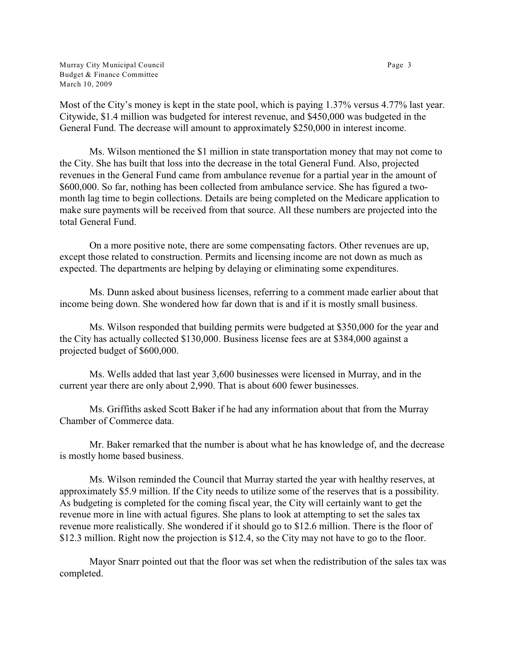Murray City Municipal Council **Page 3** and the control page 3 Budget & Finance Committee March 10, 2009

Most of the City's money is kept in the state pool, which is paying 1.37% versus 4.77% last year. Citywide, \$1.4 million was budgeted for interest revenue, and \$450,000 was budgeted in the General Fund. The decrease will amount to approximately \$250,000 in interest income.

Ms. Wilson mentioned the \$1 million in state transportation money that may not come to the City. She has built that loss into the decrease in the total General Fund. Also, projected revenues in the General Fund came from ambulance revenue for a partial year in the amount of \$600,000. So far, nothing has been collected from ambulance service. She has figured a twomonth lag time to begin collections. Details are being completed on the Medicare application to make sure payments will be received from that source. All these numbers are projected into the total General Fund.

On a more positive note, there are some compensating factors. Other revenues are up, except those related to construction. Permits and licensing income are not down as much as expected. The departments are helping by delaying or eliminating some expenditures.

Ms. Dunn asked about business licenses, referring to a comment made earlier about that income being down. She wondered how far down that is and if it is mostly small business.

Ms. Wilson responded that building permits were budgeted at \$350,000 for the year and the City has actually collected \$130,000. Business license fees are at \$384,000 against a projected budget of \$600,000.

Ms. Wells added that last year 3,600 businesses were licensed in Murray, and in the current year there are only about 2,990. That is about 600 fewer businesses.

Ms. Griffiths asked Scott Baker if he had any information about that from the Murray Chamber of Commerce data.

Mr. Baker remarked that the number is about what he has knowledge of, and the decrease is mostly home based business.

Ms. Wilson reminded the Council that Murray started the year with healthy reserves, at approximately \$5.9 million. If the City needs to utilize some of the reserves that is a possibility. As budgeting is completed for the coming fiscal year, the City will certainly want to get the revenue more in line with actual figures. She plans to look at attempting to set the sales tax revenue more realistically. She wondered if it should go to \$12.6 million. There is the floor of \$12.3 million. Right now the projection is \$12.4, so the City may not have to go to the floor.

Mayor Snarr pointed out that the floor was set when the redistribution of the sales tax was completed.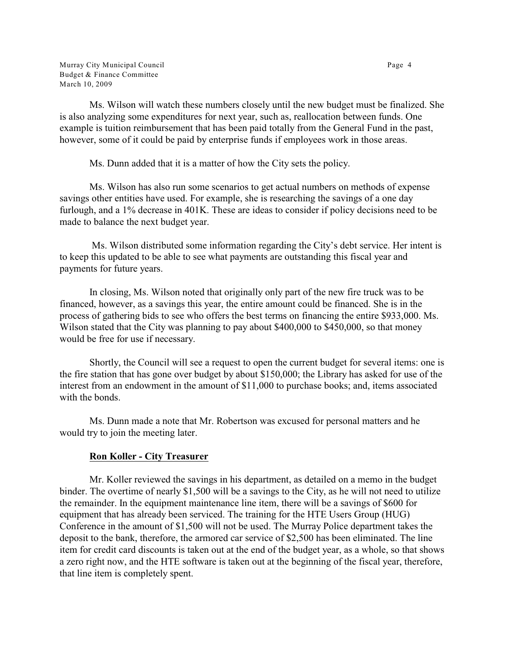Murray City Municipal Council **Page 4** and the state of the state of the Page 4 and the Page 4 and the Page 4 and the Page 4 and the Page 4 and the Page 4 and the Page 4 and the Page 4 and the Page 4 and the Page 4 and the Budget & Finance Committee March 10, 2009

Ms. Wilson will watch these numbers closely until the new budget must be finalized. She is also analyzing some expenditures for next year, such as, reallocation between funds. One example is tuition reimbursement that has been paid totally from the General Fund in the past, however, some of it could be paid by enterprise funds if employees work in those areas.

Ms. Dunn added that it is a matter of how the City sets the policy.

Ms. Wilson has also run some scenarios to get actual numbers on methods of expense savings other entities have used. For example, she is researching the savings of a one day furlough, and a 1% decrease in 401K. These are ideas to consider if policy decisions need to be made to balance the next budget year.

 Ms. Wilson distributed some information regarding the City's debt service. Her intent is to keep this updated to be able to see what payments are outstanding this fiscal year and payments for future years.

In closing, Ms. Wilson noted that originally only part of the new fire truck was to be financed, however, as a savings this year, the entire amount could be financed. She is in the process of gathering bids to see who offers the best terms on financing the entire \$933,000. Ms. Wilson stated that the City was planning to pay about \$400,000 to \$450,000, so that money would be free for use if necessary.

Shortly, the Council will see a request to open the current budget for several items: one is the fire station that has gone over budget by about \$150,000; the Library has asked for use of the interest from an endowment in the amount of \$11,000 to purchase books; and, items associated with the bonds.

Ms. Dunn made a note that Mr. Robertson was excused for personal matters and he would try to join the meeting later.

# **Ron Koller - City Treasurer**

Mr. Koller reviewed the savings in his department, as detailed on a memo in the budget binder. The overtime of nearly \$1,500 will be a savings to the City, as he will not need to utilize the remainder. In the equipment maintenance line item, there will be a savings of \$600 for equipment that has already been serviced. The training for the HTE Users Group (HUG) Conference in the amount of \$1,500 will not be used. The Murray Police department takes the deposit to the bank, therefore, the armored car service of \$2,500 has been eliminated. The line item for credit card discounts is taken out at the end of the budget year, as a whole, so that shows a zero right now, and the HTE software is taken out at the beginning of the fiscal year, therefore, that line item is completely spent.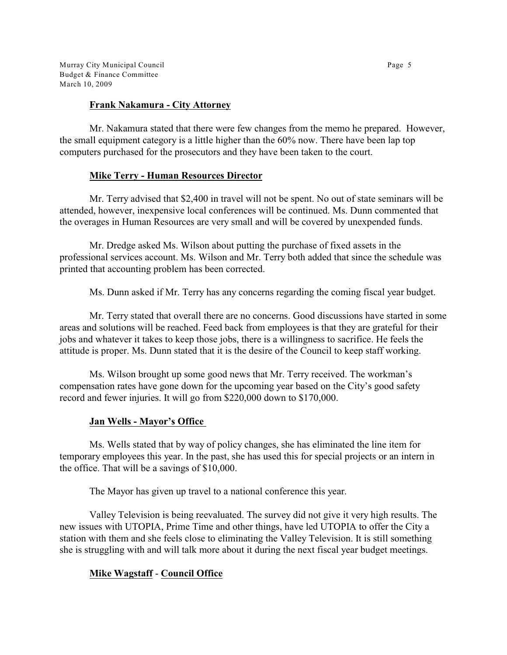Murray City Municipal Council **Page 5** and the control page 5 and the control page 5 and the control page 5 and the control page 5 and the control page 5 and the control page 5 and the control page 5 and the control page 5 Budget & Finance Committee March 10, 2009

#### **Frank Nakamura - City Attorney**

Mr. Nakamura stated that there were few changes from the memo he prepared. However, the small equipment category is a little higher than the 60% now. There have been lap top computers purchased for the prosecutors and they have been taken to the court.

# **Mike Terry - Human Resources Director**

Mr. Terry advised that \$2,400 in travel will not be spent. No out of state seminars will be attended, however, inexpensive local conferences will be continued. Ms. Dunn commented that the overages in Human Resources are very small and will be covered by unexpended funds.

Mr. Dredge asked Ms. Wilson about putting the purchase of fixed assets in the professional services account. Ms. Wilson and Mr. Terry both added that since the schedule was printed that accounting problem has been corrected.

Ms. Dunn asked if Mr. Terry has any concerns regarding the coming fiscal year budget.

Mr. Terry stated that overall there are no concerns. Good discussions have started in some areas and solutions will be reached. Feed back from employees is that they are grateful for their jobs and whatever it takes to keep those jobs, there is a willingness to sacrifice. He feels the attitude is proper. Ms. Dunn stated that it is the desire of the Council to keep staff working.

Ms. Wilson brought up some good news that Mr. Terry received. The workman's compensation rates have gone down for the upcoming year based on the City's good safety record and fewer injuries. It will go from \$220,000 down to \$170,000.

#### **Jan Wells - Mayor's Office**

Ms. Wells stated that by way of policy changes, she has eliminated the line item for temporary employees this year. In the past, she has used this for special projects or an intern in the office. That will be a savings of \$10,000.

The Mayor has given up travel to a national conference this year.

Valley Television is being reevaluated. The survey did not give it very high results. The new issues with UTOPIA, Prime Time and other things, have led UTOPIA to offer the City a station with them and she feels close to eliminating the Valley Television. It is still something she is struggling with and will talk more about it during the next fiscal year budget meetings.

# **Mike Wagstaff** - **Council Office**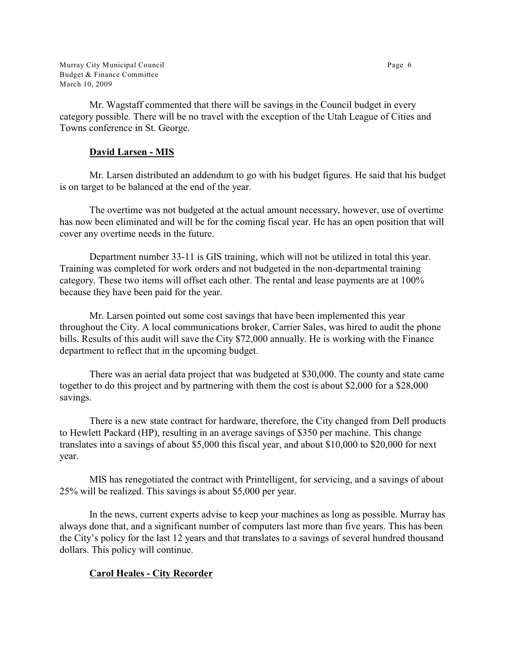Murray City Municipal Council **Page 6** Budget & Finance Committee March 10, 2009

Mr. Wagstaff commented that there will be savings in the Council budget in every category possible. There will be no travel with the exception of the Utah League of Cities and Towns conference in St. George.

### **David Larsen - MIS**

Mr. Larsen distributed an addendum to go with his budget figures. He said that his budget is on target to be balanced at the end of the year.

The overtime was not budgeted at the actual amount necessary, however, use of overtime has now been eliminated and will be for the coming fiscal year. He has an open position that will cover any overtime needs in the future.

Department number 33-11 is GIS training, which will not be utilized in total this year. Training was completed for work orders and not budgeted in the non-departmental training category. These two items will offset each other. The rental and lease payments are at 100% because they have been paid for the year.

Mr. Larsen pointed out some cost savings that have been implemented this year throughout the City. A local communications broker, Carrier Sales, was hired to audit the phone bills. Results of this audit will save the City \$72,000 annually. He is working with the Finance department to reflect that in the upcoming budget.

There was an aerial data project that was budgeted at \$30,000. The county and state came together to do this project and by partnering with them the cost is about \$2,000 for a \$28,000 savings.

There is a new state contract for hardware, therefore, the City changed from Dell products to Hewlett Packard (HP), resulting in an average savings of \$350 per machine. This change translates into a savings of about \$5,000 this fiscal year, and about \$10,000 to \$20,000 for next year.

MIS has renegotiated the contract with Printelligent, for servicing, and a savings of about 25% will be realized. This savings is about \$5,000 per year.

In the news, current experts advise to keep your machines as long as possible. Murray has always done that, and a significant number of computers last more than five years. This has been the City's policy for the last 12 years and that translates to a savings of several hundred thousand dollars. This policy will continue.

# **Carol Heales - City Recorder**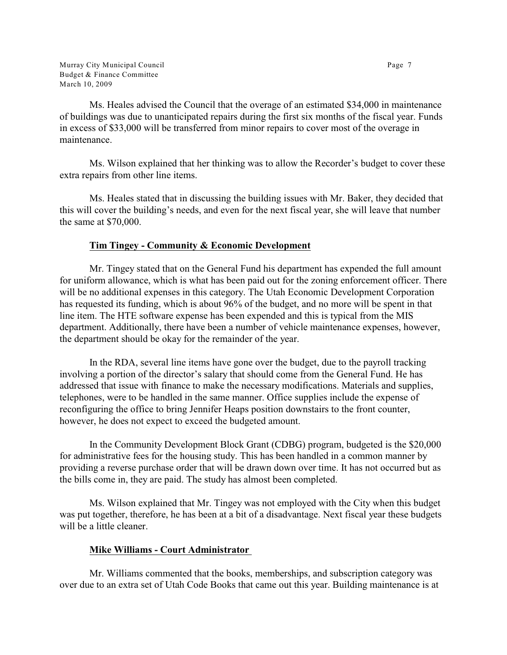Ms. Heales advised the Council that the overage of an estimated \$34,000 in maintenance of buildings was due to unanticipated repairs during the first six months of the fiscal year. Funds in excess of \$33,000 will be transferred from minor repairs to cover most of the overage in maintenance.

Ms. Wilson explained that her thinking was to allow the Recorder's budget to cover these extra repairs from other line items.

Ms. Heales stated that in discussing the building issues with Mr. Baker, they decided that this will cover the building's needs, and even for the next fiscal year, she will leave that number the same at \$70,000.

# **Tim Tingey - Community & Economic Development**

Mr. Tingey stated that on the General Fund his department has expended the full amount for uniform allowance, which is what has been paid out for the zoning enforcement officer. There will be no additional expenses in this category. The Utah Economic Development Corporation has requested its funding, which is about 96% of the budget, and no more will be spent in that line item. The HTE software expense has been expended and this is typical from the MIS department. Additionally, there have been a number of vehicle maintenance expenses, however, the department should be okay for the remainder of the year.

In the RDA, several line items have gone over the budget, due to the payroll tracking involving a portion of the director's salary that should come from the General Fund. He has addressed that issue with finance to make the necessary modifications. Materials and supplies, telephones, were to be handled in the same manner. Office supplies include the expense of reconfiguring the office to bring Jennifer Heaps position downstairs to the front counter, however, he does not expect to exceed the budgeted amount.

In the Community Development Block Grant (CDBG) program, budgeted is the \$20,000 for administrative fees for the housing study. This has been handled in a common manner by providing a reverse purchase order that will be drawn down over time. It has not occurred but as the bills come in, they are paid. The study has almost been completed.

Ms. Wilson explained that Mr. Tingey was not employed with the City when this budget was put together, therefore, he has been at a bit of a disadvantage. Next fiscal year these budgets will be a little cleaner.

# **Mike Williams - Court Administrator**

Mr. Williams commented that the books, memberships, and subscription category was over due to an extra set of Utah Code Books that came out this year. Building maintenance is at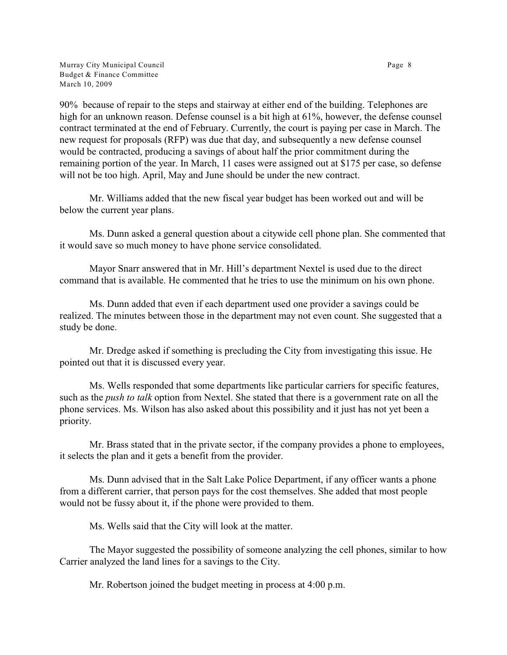Murray City Municipal Council **Page 8** and the state of the state of the Page 8 and the Page 8 and the Page 8 and the Page 8 and the Page 8 and the Page 8 and the Page 8 and the Page 8 and the Page 8 and the Page 8 and the Budget & Finance Committee March 10, 2009

90% because of repair to the steps and stairway at either end of the building. Telephones are high for an unknown reason. Defense counsel is a bit high at 61%, however, the defense counsel contract terminated at the end of February. Currently, the court is paying per case in March. The new request for proposals (RFP) was due that day, and subsequently a new defense counsel would be contracted, producing a savings of about half the prior commitment during the remaining portion of the year. In March, 11 cases were assigned out at \$175 per case, so defense will not be too high. April, May and June should be under the new contract.

Mr. Williams added that the new fiscal year budget has been worked out and will be below the current year plans.

Ms. Dunn asked a general question about a citywide cell phone plan. She commented that it would save so much money to have phone service consolidated.

Mayor Snarr answered that in Mr. Hill's department Nextel is used due to the direct command that is available. He commented that he tries to use the minimum on his own phone.

Ms. Dunn added that even if each department used one provider a savings could be realized. The minutes between those in the department may not even count. She suggested that a study be done.

Mr. Dredge asked if something is precluding the City from investigating this issue. He pointed out that it is discussed every year.

Ms. Wells responded that some departments like particular carriers for specific features, such as the *push to talk* option from Nextel. She stated that there is a government rate on all the phone services. Ms. Wilson has also asked about this possibility and it just has not yet been a priority.

Mr. Brass stated that in the private sector, if the company provides a phone to employees, it selects the plan and it gets a benefit from the provider.

Ms. Dunn advised that in the Salt Lake Police Department, if any officer wants a phone from a different carrier, that person pays for the cost themselves. She added that most people would not be fussy about it, if the phone were provided to them.

Ms. Wells said that the City will look at the matter.

The Mayor suggested the possibility of someone analyzing the cell phones, similar to how Carrier analyzed the land lines for a savings to the City.

Mr. Robertson joined the budget meeting in process at 4:00 p.m.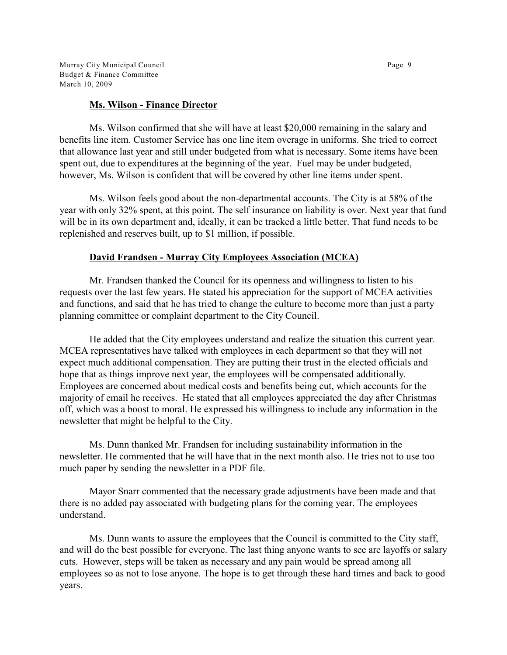Murray City Municipal Council **Page 9** and the control of the control of the Page 9 Budget & Finance Committee March 10, 2009

#### **Ms. Wilson - Finance Director**

Ms. Wilson confirmed that she will have at least \$20,000 remaining in the salary and benefits line item. Customer Service has one line item overage in uniforms. She tried to correct that allowance last year and still under budgeted from what is necessary. Some items have been spent out, due to expenditures at the beginning of the year. Fuel may be under budgeted, however, Ms. Wilson is confident that will be covered by other line items under spent.

Ms. Wilson feels good about the non-departmental accounts. The City is at 58% of the year with only 32% spent, at this point. The self insurance on liability is over. Next year that fund will be in its own department and, ideally, it can be tracked a little better. That fund needs to be replenished and reserves built, up to \$1 million, if possible.

#### **David Frandsen - Murray City Employees Association (MCEA)**

Mr. Frandsen thanked the Council for its openness and willingness to listen to his requests over the last few years. He stated his appreciation for the support of MCEA activities and functions, and said that he has tried to change the culture to become more than just a party planning committee or complaint department to the City Council.

He added that the City employees understand and realize the situation this current year. MCEA representatives have talked with employees in each department so that they will not expect much additional compensation. They are putting their trust in the elected officials and hope that as things improve next year, the employees will be compensated additionally. Employees are concerned about medical costs and benefits being cut, which accounts for the majority of email he receives. He stated that all employees appreciated the day after Christmas off, which was a boost to moral. He expressed his willingness to include any information in the newsletter that might be helpful to the City.

Ms. Dunn thanked Mr. Frandsen for including sustainability information in the newsletter. He commented that he will have that in the next month also. He tries not to use too much paper by sending the newsletter in a PDF file.

Mayor Snarr commented that the necessary grade adjustments have been made and that there is no added pay associated with budgeting plans for the coming year. The employees understand.

Ms. Dunn wants to assure the employees that the Council is committed to the City staff, and will do the best possible for everyone. The last thing anyone wants to see are layoffs or salary cuts. However, steps will be taken as necessary and any pain would be spread among all employees so as not to lose anyone. The hope is to get through these hard times and back to good years.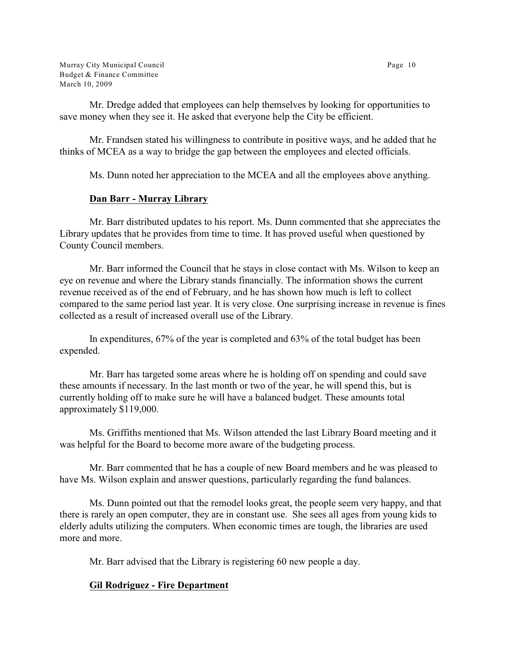Murray City Municipal Council **Page 10** Budget & Finance Committee March 10, 2009

Mr. Dredge added that employees can help themselves by looking for opportunities to save money when they see it. He asked that everyone help the City be efficient.

Mr. Frandsen stated his willingness to contribute in positive ways, and he added that he thinks of MCEA as a way to bridge the gap between the employees and elected officials.

Ms. Dunn noted her appreciation to the MCEA and all the employees above anything.

#### **Dan Barr - Murray Library**

Mr. Barr distributed updates to his report. Ms. Dunn commented that she appreciates the Library updates that he provides from time to time. It has proved useful when questioned by County Council members.

Mr. Barr informed the Council that he stays in close contact with Ms. Wilson to keep an eye on revenue and where the Library stands financially. The information shows the current revenue received as of the end of February, and he has shown how much is left to collect compared to the same period last year. It is very close. One surprising increase in revenue is fines collected as a result of increased overall use of the Library.

In expenditures, 67% of the year is completed and 63% of the total budget has been expended.

Mr. Barr has targeted some areas where he is holding off on spending and could save these amounts if necessary. In the last month or two of the year, he will spend this, but is currently holding off to make sure he will have a balanced budget. These amounts total approximately \$119,000.

Ms. Griffiths mentioned that Ms. Wilson attended the last Library Board meeting and it was helpful for the Board to become more aware of the budgeting process.

Mr. Barr commented that he has a couple of new Board members and he was pleased to have Ms. Wilson explain and answer questions, particularly regarding the fund balances.

Ms. Dunn pointed out that the remodel looks great, the people seem very happy, and that there is rarely an open computer, they are in constant use. She sees all ages from young kids to elderly adults utilizing the computers. When economic times are tough, the libraries are used more and more.

Mr. Barr advised that the Library is registering 60 new people a day.

# **Gil Rodriguez - Fire Department**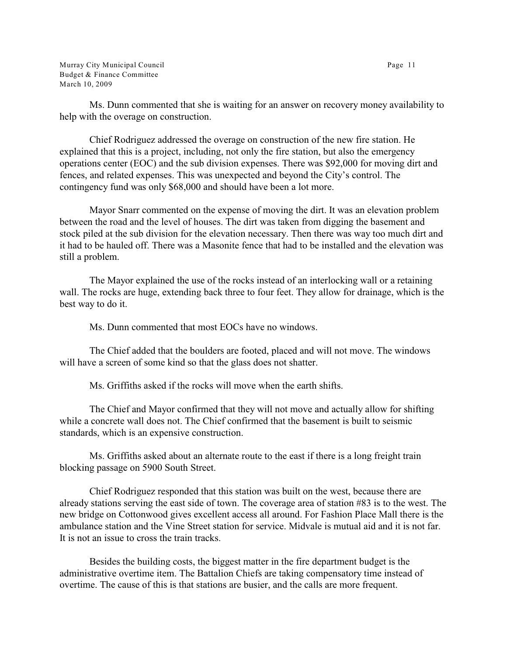Murray City Municipal Council Page 11 Budget & Finance Committee March 10, 2009

Ms. Dunn commented that she is waiting for an answer on recovery money availability to help with the overage on construction.

Chief Rodriguez addressed the overage on construction of the new fire station. He explained that this is a project, including, not only the fire station, but also the emergency operations center (EOC) and the sub division expenses. There was \$92,000 for moving dirt and fences, and related expenses. This was unexpected and beyond the City's control. The contingency fund was only \$68,000 and should have been a lot more.

Mayor Snarr commented on the expense of moving the dirt. It was an elevation problem between the road and the level of houses. The dirt was taken from digging the basement and stock piled at the sub division for the elevation necessary. Then there was way too much dirt and it had to be hauled off. There was a Masonite fence that had to be installed and the elevation was still a problem.

The Mayor explained the use of the rocks instead of an interlocking wall or a retaining wall. The rocks are huge, extending back three to four feet. They allow for drainage, which is the best way to do it.

Ms. Dunn commented that most EOCs have no windows.

The Chief added that the boulders are footed, placed and will not move. The windows will have a screen of some kind so that the glass does not shatter.

Ms. Griffiths asked if the rocks will move when the earth shifts.

The Chief and Mayor confirmed that they will not move and actually allow for shifting while a concrete wall does not. The Chief confirmed that the basement is built to seismic standards, which is an expensive construction.

Ms. Griffiths asked about an alternate route to the east if there is a long freight train blocking passage on 5900 South Street.

Chief Rodriguez responded that this station was built on the west, because there are already stations serving the east side of town. The coverage area of station #83 is to the west. The new bridge on Cottonwood gives excellent access all around. For Fashion Place Mall there is the ambulance station and the Vine Street station for service. Midvale is mutual aid and it is not far. It is not an issue to cross the train tracks.

Besides the building costs, the biggest matter in the fire department budget is the administrative overtime item. The Battalion Chiefs are taking compensatory time instead of overtime. The cause of this is that stations are busier, and the calls are more frequent.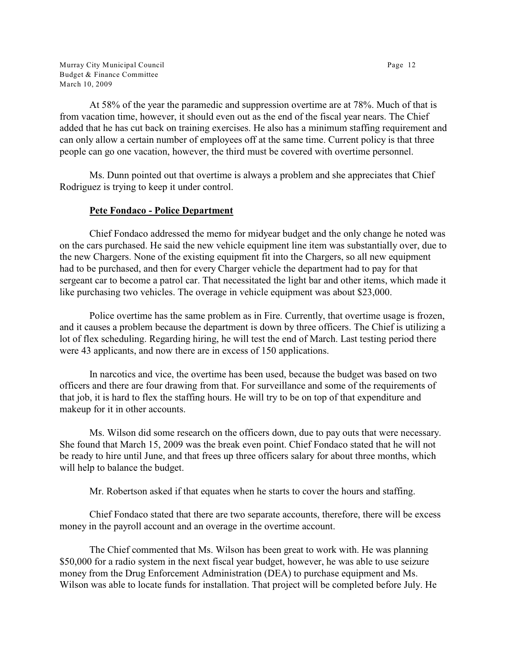Murray City Municipal Council **Page 12** Budget & Finance Committee March 10, 2009

At 58% of the year the paramedic and suppression overtime are at 78%. Much of that is from vacation time, however, it should even out as the end of the fiscal year nears. The Chief added that he has cut back on training exercises. He also has a minimum staffing requirement and can only allow a certain number of employees off at the same time. Current policy is that three people can go one vacation, however, the third must be covered with overtime personnel.

Ms. Dunn pointed out that overtime is always a problem and she appreciates that Chief Rodriguez is trying to keep it under control.

#### **Pete Fondaco - Police Department**

Chief Fondaco addressed the memo for midyear budget and the only change he noted was on the cars purchased. He said the new vehicle equipment line item was substantially over, due to the new Chargers. None of the existing equipment fit into the Chargers, so all new equipment had to be purchased, and then for every Charger vehicle the department had to pay for that sergeant car to become a patrol car. That necessitated the light bar and other items, which made it like purchasing two vehicles. The overage in vehicle equipment was about \$23,000.

Police overtime has the same problem as in Fire. Currently, that overtime usage is frozen, and it causes a problem because the department is down by three officers. The Chief is utilizing a lot of flex scheduling. Regarding hiring, he will test the end of March. Last testing period there were 43 applicants, and now there are in excess of 150 applications.

In narcotics and vice, the overtime has been used, because the budget was based on two officers and there are four drawing from that. For surveillance and some of the requirements of that job, it is hard to flex the staffing hours. He will try to be on top of that expenditure and makeup for it in other accounts.

Ms. Wilson did some research on the officers down, due to pay outs that were necessary. She found that March 15, 2009 was the break even point. Chief Fondaco stated that he will not be ready to hire until June, and that frees up three officers salary for about three months, which will help to balance the budget.

Mr. Robertson asked if that equates when he starts to cover the hours and staffing.

Chief Fondaco stated that there are two separate accounts, therefore, there will be excess money in the payroll account and an overage in the overtime account.

The Chief commented that Ms. Wilson has been great to work with. He was planning \$50,000 for a radio system in the next fiscal year budget, however, he was able to use seizure money from the Drug Enforcement Administration (DEA) to purchase equipment and Ms. Wilson was able to locate funds for installation. That project will be completed before July. He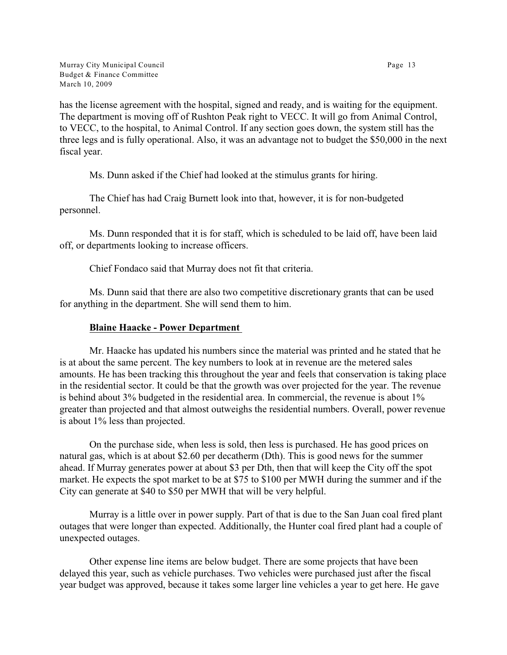has the license agreement with the hospital, signed and ready, and is waiting for the equipment. The department is moving off of Rushton Peak right to VECC. It will go from Animal Control, to VECC, to the hospital, to Animal Control. If any section goes down, the system still has the three legs and is fully operational. Also, it was an advantage not to budget the \$50,000 in the next fiscal year.

Ms. Dunn asked if the Chief had looked at the stimulus grants for hiring.

The Chief has had Craig Burnett look into that, however, it is for non-budgeted personnel.

Ms. Dunn responded that it is for staff, which is scheduled to be laid off, have been laid off, or departments looking to increase officers.

Chief Fondaco said that Murray does not fit that criteria.

Ms. Dunn said that there are also two competitive discretionary grants that can be used for anything in the department. She will send them to him.

# **Blaine Haacke - Power Department**

Mr. Haacke has updated his numbers since the material was printed and he stated that he is at about the same percent. The key numbers to look at in revenue are the metered sales amounts. He has been tracking this throughout the year and feels that conservation is taking place in the residential sector. It could be that the growth was over projected for the year. The revenue is behind about 3% budgeted in the residential area. In commercial, the revenue is about 1% greater than projected and that almost outweighs the residential numbers. Overall, power revenue is about 1% less than projected.

On the purchase side, when less is sold, then less is purchased. He has good prices on natural gas, which is at about \$2.60 per decatherm (Dth). This is good news for the summer ahead. If Murray generates power at about \$3 per Dth, then that will keep the City off the spot market. He expects the spot market to be at \$75 to \$100 per MWH during the summer and if the City can generate at \$40 to \$50 per MWH that will be very helpful.

Murray is a little over in power supply. Part of that is due to the San Juan coal fired plant outages that were longer than expected. Additionally, the Hunter coal fired plant had a couple of unexpected outages.

Other expense line items are below budget. There are some projects that have been delayed this year, such as vehicle purchases. Two vehicles were purchased just after the fiscal year budget was approved, because it takes some larger line vehicles a year to get here. He gave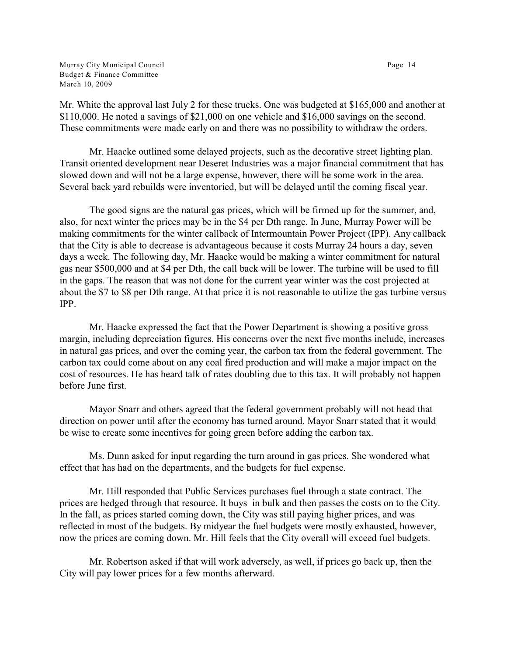Murray City Municipal Council Page 14 Budget & Finance Committee March 10, 2009

Mr. White the approval last July 2 for these trucks. One was budgeted at \$165,000 and another at \$110,000. He noted a savings of \$21,000 on one vehicle and \$16,000 savings on the second. These commitments were made early on and there was no possibility to withdraw the orders.

Mr. Haacke outlined some delayed projects, such as the decorative street lighting plan. Transit oriented development near Deseret Industries was a major financial commitment that has slowed down and will not be a large expense, however, there will be some work in the area. Several back yard rebuilds were inventoried, but will be delayed until the coming fiscal year.

The good signs are the natural gas prices, which will be firmed up for the summer, and, also, for next winter the prices may be in the \$4 per Dth range. In June, Murray Power will be making commitments for the winter callback of Intermountain Power Project (IPP). Any callback that the City is able to decrease is advantageous because it costs Murray 24 hours a day, seven days a week. The following day, Mr. Haacke would be making a winter commitment for natural gas near \$500,000 and at \$4 per Dth, the call back will be lower. The turbine will be used to fill in the gaps. The reason that was not done for the current year winter was the cost projected at about the \$7 to \$8 per Dth range. At that price it is not reasonable to utilize the gas turbine versus IPP.

Mr. Haacke expressed the fact that the Power Department is showing a positive gross margin, including depreciation figures. His concerns over the next five months include, increases in natural gas prices, and over the coming year, the carbon tax from the federal government. The carbon tax could come about on any coal fired production and will make a major impact on the cost of resources. He has heard talk of rates doubling due to this tax. It will probably not happen before June first.

Mayor Snarr and others agreed that the federal government probably will not head that direction on power until after the economy has turned around. Mayor Snarr stated that it would be wise to create some incentives for going green before adding the carbon tax.

Ms. Dunn asked for input regarding the turn around in gas prices. She wondered what effect that has had on the departments, and the budgets for fuel expense.

Mr. Hill responded that Public Services purchases fuel through a state contract. The prices are hedged through that resource. It buys in bulk and then passes the costs on to the City. In the fall, as prices started coming down, the City was still paying higher prices, and was reflected in most of the budgets. By midyear the fuel budgets were mostly exhausted, however, now the prices are coming down. Mr. Hill feels that the City overall will exceed fuel budgets.

Mr. Robertson asked if that will work adversely, as well, if prices go back up, then the City will pay lower prices for a few months afterward.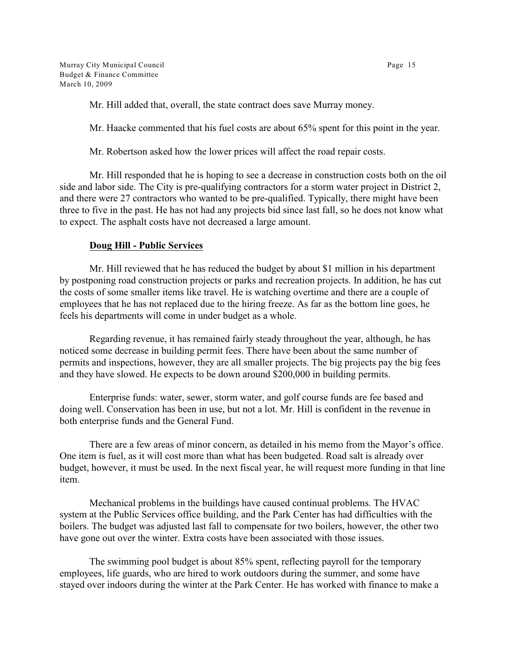Mr. Hill added that, overall, the state contract does save Murray money.

Mr. Haacke commented that his fuel costs are about 65% spent for this point in the year.

Mr. Robertson asked how the lower prices will affect the road repair costs.

Mr. Hill responded that he is hoping to see a decrease in construction costs both on the oil side and labor side. The City is pre-qualifying contractors for a storm water project in District 2, and there were 27 contractors who wanted to be pre-qualified. Typically, there might have been three to five in the past. He has not had any projects bid since last fall, so he does not know what to expect. The asphalt costs have not decreased a large amount.

# **Doug Hill - Public Services**

Mr. Hill reviewed that he has reduced the budget by about \$1 million in his department by postponing road construction projects or parks and recreation projects. In addition, he has cut the costs of some smaller items like travel. He is watching overtime and there are a couple of employees that he has not replaced due to the hiring freeze. As far as the bottom line goes, he feels his departments will come in under budget as a whole.

Regarding revenue, it has remained fairly steady throughout the year, although, he has noticed some decrease in building permit fees. There have been about the same number of permits and inspections, however, they are all smaller projects. The big projects pay the big fees and they have slowed. He expects to be down around \$200,000 in building permits.

Enterprise funds: water, sewer, storm water, and golf course funds are fee based and doing well. Conservation has been in use, but not a lot. Mr. Hill is confident in the revenue in both enterprise funds and the General Fund.

There are a few areas of minor concern, as detailed in his memo from the Mayor's office. One item is fuel, as it will cost more than what has been budgeted. Road salt is already over budget, however, it must be used. In the next fiscal year, he will request more funding in that line item.

Mechanical problems in the buildings have caused continual problems. The HVAC system at the Public Services office building, and the Park Center has had difficulties with the boilers. The budget was adjusted last fall to compensate for two boilers, however, the other two have gone out over the winter. Extra costs have been associated with those issues.

The swimming pool budget is about 85% spent, reflecting payroll for the temporary employees, life guards, who are hired to work outdoors during the summer, and some have stayed over indoors during the winter at the Park Center. He has worked with finance to make a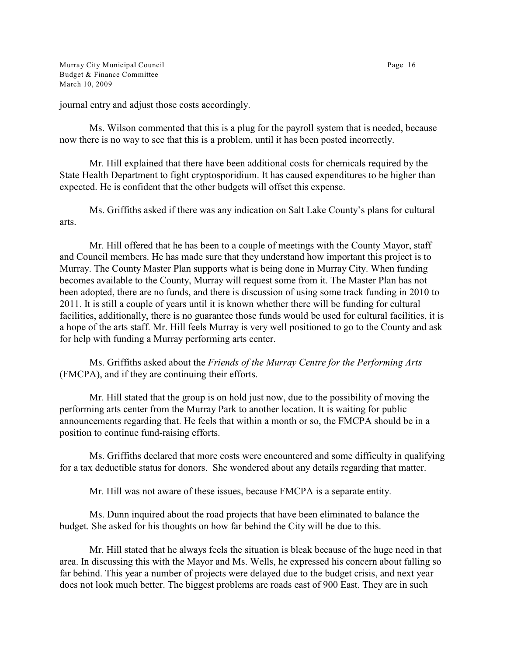Murray City Municipal Council **Page 16** Budget & Finance Committee March 10, 2009

journal entry and adjust those costs accordingly.

Ms. Wilson commented that this is a plug for the payroll system that is needed, because now there is no way to see that this is a problem, until it has been posted incorrectly.

Mr. Hill explained that there have been additional costs for chemicals required by the State Health Department to fight cryptosporidium. It has caused expenditures to be higher than expected. He is confident that the other budgets will offset this expense.

Ms. Griffiths asked if there was any indication on Salt Lake County's plans for cultural arts.

Mr. Hill offered that he has been to a couple of meetings with the County Mayor, staff and Council members. He has made sure that they understand how important this project is to Murray. The County Master Plan supports what is being done in Murray City. When funding becomes available to the County, Murray will request some from it. The Master Plan has not been adopted, there are no funds, and there is discussion of using some track funding in 2010 to 2011. It is still a couple of years until it is known whether there will be funding for cultural facilities, additionally, there is no guarantee those funds would be used for cultural facilities, it is a hope of the arts staff. Mr. Hill feels Murray is very well positioned to go to the County and ask for help with funding a Murray performing arts center.

Ms. Griffiths asked about the *Friends of the Murray Centre for the Performing Arts* (FMCPA), and if they are continuing their efforts.

Mr. Hill stated that the group is on hold just now, due to the possibility of moving the performing arts center from the Murray Park to another location. It is waiting for public announcements regarding that. He feels that within a month or so, the FMCPA should be in a position to continue fund-raising efforts.

Ms. Griffiths declared that more costs were encountered and some difficulty in qualifying for a tax deductible status for donors. She wondered about any details regarding that matter.

Mr. Hill was not aware of these issues, because FMCPA is a separate entity.

Ms. Dunn inquired about the road projects that have been eliminated to balance the budget. She asked for his thoughts on how far behind the City will be due to this.

Mr. Hill stated that he always feels the situation is bleak because of the huge need in that area. In discussing this with the Mayor and Ms. Wells, he expressed his concern about falling so far behind. This year a number of projects were delayed due to the budget crisis, and next year does not look much better. The biggest problems are roads east of 900 East. They are in such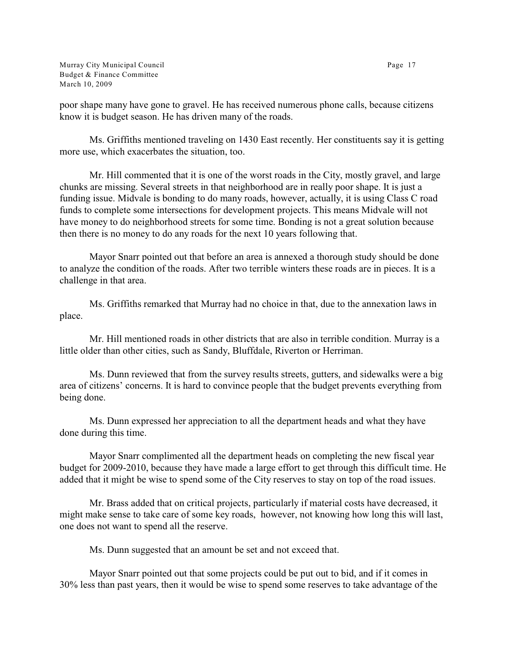Murray City Municipal Council **Page 17** Budget & Finance Committee March 10, 2009

poor shape many have gone to gravel. He has received numerous phone calls, because citizens know it is budget season. He has driven many of the roads.

Ms. Griffiths mentioned traveling on 1430 East recently. Her constituents say it is getting more use, which exacerbates the situation, too.

Mr. Hill commented that it is one of the worst roads in the City, mostly gravel, and large chunks are missing. Several streets in that neighborhood are in really poor shape. It is just a funding issue. Midvale is bonding to do many roads, however, actually, it is using Class C road funds to complete some intersections for development projects. This means Midvale will not have money to do neighborhood streets for some time. Bonding is not a great solution because then there is no money to do any roads for the next 10 years following that.

Mayor Snarr pointed out that before an area is annexed a thorough study should be done to analyze the condition of the roads. After two terrible winters these roads are in pieces. It is a challenge in that area.

Ms. Griffiths remarked that Murray had no choice in that, due to the annexation laws in place.

Mr. Hill mentioned roads in other districts that are also in terrible condition. Murray is a little older than other cities, such as Sandy, Bluffdale, Riverton or Herriman.

Ms. Dunn reviewed that from the survey results streets, gutters, and sidewalks were a big area of citizens' concerns. It is hard to convince people that the budget prevents everything from being done.

Ms. Dunn expressed her appreciation to all the department heads and what they have done during this time.

Mayor Snarr complimented all the department heads on completing the new fiscal year budget for 2009-2010, because they have made a large effort to get through this difficult time. He added that it might be wise to spend some of the City reserves to stay on top of the road issues.

Mr. Brass added that on critical projects, particularly if material costs have decreased, it might make sense to take care of some key roads, however, not knowing how long this will last, one does not want to spend all the reserve.

Ms. Dunn suggested that an amount be set and not exceed that.

Mayor Snarr pointed out that some projects could be put out to bid, and if it comes in 30% less than past years, then it would be wise to spend some reserves to take advantage of the